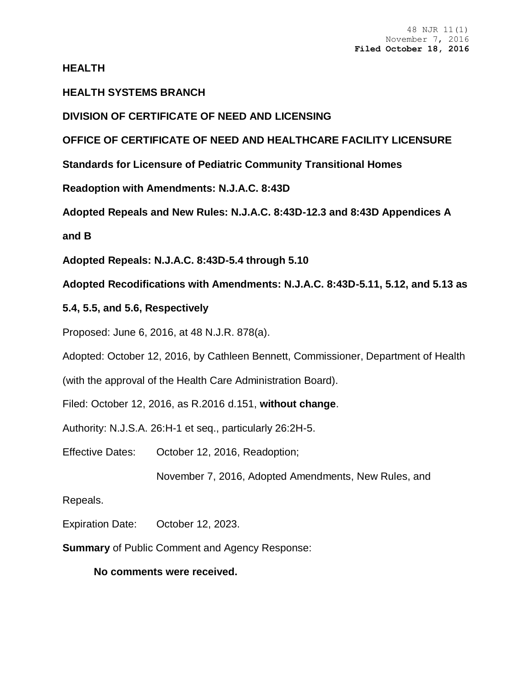**HEALTH**

## **HEALTH SYSTEMS BRANCH**

**DIVISION OF CERTIFICATE OF NEED AND LICENSING**

**OFFICE OF CERTIFICATE OF NEED AND HEALTHCARE FACILITY LICENSURE**

**Standards for Licensure of Pediatric Community Transitional Homes**

**Readoption with Amendments: N.J.A.C. 8:43D**

**Adopted Repeals and New Rules: N.J.A.C. 8:43D-12.3 and 8:43D Appendices A** 

**and B**

**Adopted Repeals: N.J.A.C. 8:43D-5.4 through 5.10**

**Adopted Recodifications with Amendments: N.J.A.C. 8:43D-5.11, 5.12, and 5.13 as** 

## **5.4, 5.5, and 5.6, Respectively**

Proposed: June 6, 2016, at 48 N.J.R. 878(a).

Adopted: October 12, 2016, by Cathleen Bennett, Commissioner, Department of Health

(with the approval of the Health Care Administration Board).

Filed: October 12, 2016, as R.2016 d.151, **without change**.

Authority: N.J.S.A. 26:H-1 et seq., particularly 26:2H-5.

Effective Dates: October 12, 2016, Readoption;

November 7, 2016, Adopted Amendments, New Rules, and

## Repeals.

Expiration Date: October 12, 2023.

**Summary** of Public Comment and Agency Response:

**No comments were received.**